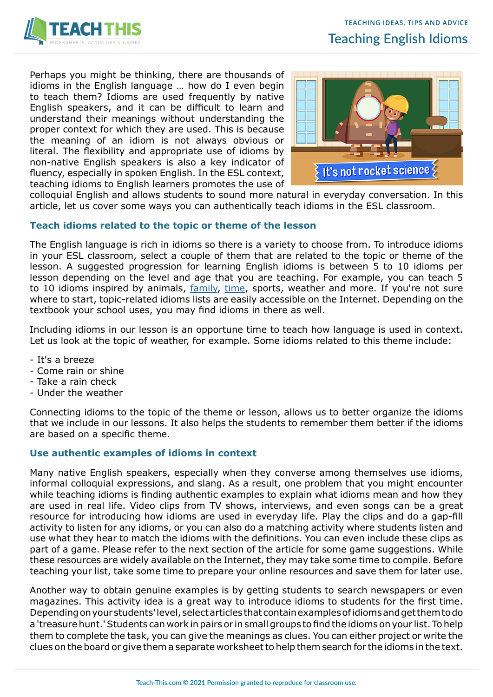

Perhaps you might be thinking, there are thousands of idioms in the English language … how do I even begin to teach them? Idioms are used frequently by native English speakers, and it can be difficult to learn and understand their meanings without understanding the proper context for which they are used. This is because the meaning of an idiom is not always obvious or literal. The flexibility and appropriate use of idioms by non-native English speakers is also a key indicator of fluency, especially in spoken English. In the ESL context, teaching idioms to English learners promotes the use of



colloquial English and allows students to sound more natural in everyday conversation. In this article, let us cover some ways you can authentically teach idioms in the ESL classroom.

## **Teach idioms related to the topic or theme of the lesson**

The English language is rich in idioms so there is a variety to choose from. To introduce idioms in your ESL classroom, select a couple of them that are related to the topic or theme of the lesson. A suggested progression for learning English idioms is between 5 to 10 idioms per lesson depending on the level and age that you are teaching. For example, you can teach 5 to 10 idioms inspired by animals, [family,](https://www.teach-this.com/general-activities-worksheets/family-relationships) [time,](https://www.teach-this.com/general-activities-worksheets/time-expressions) sports, weather and more. If you're not sure where to start, topic-related idioms lists are easily accessible on the Internet. Depending on the textbook your school uses, you may find idioms in there as well.

Including idioms in our lesson is an opportune time to teach how language is used in context. Let us look at the topic of weather, for example. Some idioms related to this theme include:

- It's a breeze
- Come rain or shine
- Take a rain check
- Under the weather

Connecting idioms to the topic of the theme or lesson, allows us to better organize the idioms that we include in our lessons. It also helps the students to remember them better if the idioms are based on a specific theme.

## **Use authentic examples of idioms in context**

Many native English speakers, especially when they converse among themselves use idioms, informal colloquial expressions, and slang. As a result, one problem that you might encounter while teaching idioms is finding authentic examples to explain what idioms mean and how they are used in real life. Video clips from TV shows, interviews, and even songs can be a great resource for introducing how idioms are used in everyday life. Play the clips and do a gap-fill activity to listen for any idioms, or you can also do a matching activity where students listen and use what they hear to match the idioms with the definitions. You can even include these clips as part of a game. Please refer to the next section of the article for some game suggestions. While these resources are widely available on the Internet, they may take some time to compile. Before teaching your list, take some time to prepare your online resources and save them for later use.

Another way to obtain genuine examples is by getting students to search newspapers or even magazines. This activity idea is a great way to introduce idioms to students for the first time. Depending on your students' level, select articles that contain examples of idioms and get them to do a 'treasure hunt.' Students can work in pairs or in small groups to find the idioms on your list. To help them to complete the task, you can give the meanings as clues. You can either project or write the clues on the board or give them a separate worksheet to help them search for the idioms in the text.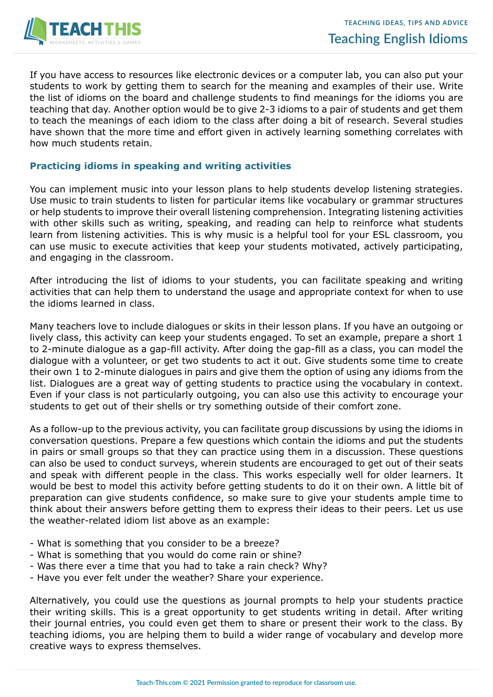

If you have access to resources like electronic devices or a computer lab, you can also put your students to work by getting them to search for the meaning and examples of their use. Write the list of idioms on the board and challenge students to find meanings for the idioms you are teaching that day. Another option would be to give 2-3 idioms to a pair of students and get them to teach the meanings of each idiom to the class after doing a bit of research. Several studies have shown that the more time and effort given in actively learning something correlates with how much students retain.

## **Practicing idioms in speaking and writing activities**

You can implement music into your lesson plans to help students develop listening strategies. Use music to train students to listen for particular items like vocabulary or grammar structures or help students to improve their overall listening comprehension. Integrating listening activities with other skills such as writing, speaking, and reading can help to reinforce what students learn from listening activities. This is why music is a helpful tool for your ESL classroom, you can use music to execute activities that keep your students motivated, actively participating, and engaging in the classroom.

After introducing the list of idioms to your students, you can facilitate speaking and writing activities that can help them to understand the usage and appropriate context for when to use the idioms learned in class.

Many teachers love to include dialogues or skits in their lesson plans. If you have an outgoing or lively class, this activity can keep your students engaged. To set an example, prepare a short 1 to 2-minute dialogue as a gap-fill activity. After doing the gap-fill as a class, you can model the dialogue with a volunteer, or get two students to act it out. Give students some time to create their own 1 to 2-minute dialogues in pairs and give them the option of using any idioms from the list. Dialogues are a great way of getting students to practice using the vocabulary in context. Even if your class is not particularly outgoing, you can also use this activity to encourage your students to get out of their shells or try something outside of their comfort zone.

As a follow-up to the previous activity, you can facilitate group discussions by using the idioms in conversation questions. Prepare a few questions which contain the idioms and put the students in pairs or small groups so that they can practice using them in a discussion. These questions can also be used to conduct surveys, wherein students are encouraged to get out of their seats and speak with different people in the class. This works especially well for older learners. It would be best to model this activity before getting students to do it on their own. A little bit of preparation can give students confidence, so make sure to give your students ample time to think about their answers before getting them to express their ideas to their peers. Let us use the weather-related idiom list above as an example:

- What is something that you consider to be a breeze?
- What is something that you would do come rain or shine?
- Was there ever a time that you had to take a rain check? Why?
- Have you ever felt under the weather? Share your experience.

Alternatively, you could use the questions as journal prompts to help your students practice their writing skills. This is a great opportunity to get students writing in detail. After writing their journal entries, you could even get them to share or present their work to the class. By teaching idioms, you are helping them to build a wider range of vocabulary and develop more creative ways to express themselves.